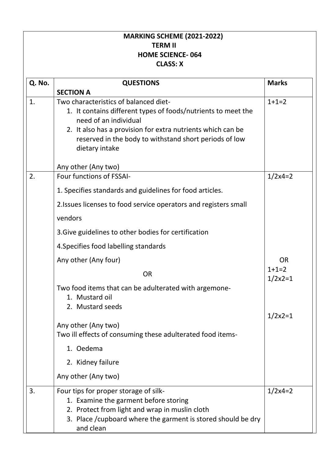| <b>MARKING SCHEME (2021-2022)</b><br><b>TERM II</b><br><b>HOME SCIENCE-064</b><br><b>CLASS: X</b> |                                                                                                                                                                                                                                                                                                                                                                                                                                                                                                                                                                               |                                                        |  |
|---------------------------------------------------------------------------------------------------|-------------------------------------------------------------------------------------------------------------------------------------------------------------------------------------------------------------------------------------------------------------------------------------------------------------------------------------------------------------------------------------------------------------------------------------------------------------------------------------------------------------------------------------------------------------------------------|--------------------------------------------------------|--|
| Q. No.                                                                                            | <b>QUESTIONS</b>                                                                                                                                                                                                                                                                                                                                                                                                                                                                                                                                                              | <b>Marks</b>                                           |  |
| 1.                                                                                                | <b>SECTION A</b><br>Two characteristics of balanced diet-<br>1. It contains different types of foods/nutrients to meet the<br>need of an individual<br>2. It also has a provision for extra nutrients which can be<br>reserved in the body to withstand short periods of low<br>dietary intake                                                                                                                                                                                                                                                                                | $1+1=2$                                                |  |
| 2.                                                                                                | Any other (Any two)<br>Four functions of FSSAI-<br>1. Specifies standards and guidelines for food articles.<br>2. Issues licenses to food service operators and registers small<br>vendors<br>3. Give guidelines to other bodies for certification<br>4. Specifies food labelling standards<br>Any other (Any four)<br><b>OR</b><br>Two food items that can be adulterated with argemone-<br>1. Mustard oil<br>2. Mustard seeds<br>Any other (Any two)<br>Two ill effects of consuming these adulterated food items-<br>1. Oedema<br>2. Kidney failure<br>Any other (Any two) | $1/2x4=2$<br>OR<br>$1+1=2$<br>$1/2x^2=1$<br>$1/2x^2=1$ |  |
| 3.                                                                                                | Four tips for proper storage of silk-<br>1. Examine the garment before storing<br>2. Protect from light and wrap in muslin cloth<br>3. Place / cupboard where the garment is stored should be dry<br>and clean                                                                                                                                                                                                                                                                                                                                                                | $1/2x4=2$                                              |  |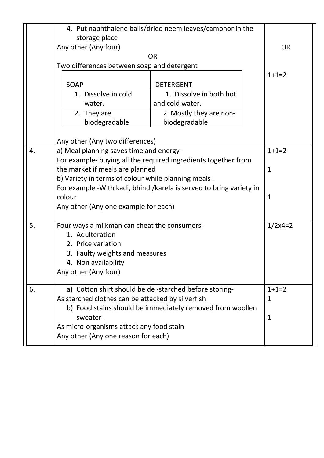|    | 4. Put naphthalene balls/dried neem leaves/camphor in the            |                         |         |
|----|----------------------------------------------------------------------|-------------------------|---------|
|    | storage place                                                        |                         |         |
|    | Any other (Any four)                                                 | <b>OR</b>               |         |
|    |                                                                      | <b>OR</b>               |         |
|    | Two differences between soap and detergent                           |                         |         |
|    | <b>SOAP</b>                                                          | <b>DETERGENT</b>        | $1+1=2$ |
|    | 1. Dissolve in cold                                                  | 1. Dissolve in both hot |         |
|    | water.                                                               | and cold water.         |         |
|    | 2. They are                                                          | 2. Mostly they are non- |         |
|    | biodegradable                                                        | biodegradable           |         |
|    |                                                                      |                         |         |
|    | Any other (Any two differences)                                      |                         |         |
| 4. | a) Meal planning saves time and energy-                              | $1+1=2$                 |         |
|    | For example- buying all the required ingredients together from       |                         |         |
|    | the market if meals are planned                                      | $\mathbf{1}$            |         |
|    | b) Variety in terms of colour while planning meals-                  |                         |         |
|    | For example - With kadi, bhindi/karela is served to bring variety in |                         |         |
|    | colour                                                               | $\mathbf 1$             |         |
|    | Any other (Any one example for each)                                 |                         |         |
| 5. | Four ways a milkman can cheat the consumers-                         | $1/2x4=2$               |         |
|    | 1. Adulteration                                                      |                         |         |
|    | 2. Price variation                                                   |                         |         |
|    | 3. Faulty weights and measures                                       |                         |         |
|    | 4. Non availability                                                  |                         |         |
|    | Any other (Any four)                                                 |                         |         |
| 6. | a) Cotton shirt should be de -starched before storing-               |                         | $1+1=2$ |
|    | As starched clothes can be attacked by silverfish                    |                         | 1       |
|    | b) Food stains should be immediately removed from woollen            |                         |         |
|    | sweater-                                                             | 1                       |         |
|    | As micro-organisms attack any food stain                             |                         |         |
|    | Any other (Any one reason for each)                                  |                         |         |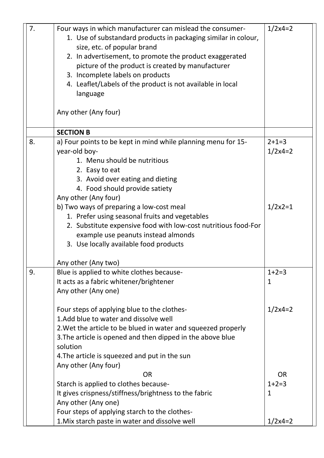| 7. | Four ways in which manufacturer can mislead the consumer-<br>1. Use of substandard products in packaging similar in colour,<br>size, etc. of popular brand<br>2. In advertisement, to promote the product exaggerated<br>picture of the product is created by manufacturer<br>3. Incomplete labels on products | $1/2x4=2$               |  |
|----|----------------------------------------------------------------------------------------------------------------------------------------------------------------------------------------------------------------------------------------------------------------------------------------------------------------|-------------------------|--|
|    | 4. Leaflet/Labels of the product is not available in local<br>language                                                                                                                                                                                                                                         |                         |  |
|    | Any other (Any four)                                                                                                                                                                                                                                                                                           |                         |  |
|    | <b>SECTION B</b>                                                                                                                                                                                                                                                                                               |                         |  |
| 8. | a) Four points to be kept in mind while planning menu for 15-<br>year-old boy-<br>1. Menu should be nutritious<br>2. Easy to eat<br>3. Avoid over eating and dieting<br>4. Food should provide satiety<br>Any other (Any four)                                                                                 | $2+1=3$<br>$1/2x4=2$    |  |
|    | b) Two ways of preparing a low-cost meal<br>1. Prefer using seasonal fruits and vegetables<br>2. Substitute expensive food with low-cost nutritious food-For<br>example use peanuts instead almonds<br>3. Use locally available food products                                                                  | $1/2x2=1$               |  |
|    | Any other (Any two)                                                                                                                                                                                                                                                                                            |                         |  |
| 9. | Blue is applied to white clothes because-<br>It acts as a fabric whitener/brightener<br>Any other (Any one)                                                                                                                                                                                                    | $1+2=3$<br>1            |  |
|    | Four steps of applying blue to the clothes-<br>1. Add blue to water and dissolve well<br>2. Wet the article to be blued in water and squeezed properly<br>3. The article is opened and then dipped in the above blue<br>solution<br>4. The article is squeezed and put in the sun<br>Any other (Any four)      | $1/2x4=2$               |  |
|    | <b>OR</b>                                                                                                                                                                                                                                                                                                      | <b>OR</b>               |  |
|    | Starch is applied to clothes because-<br>It gives crispness/stiffness/brightness to the fabric<br>Any other (Any one)                                                                                                                                                                                          | $1+2=3$<br>$\mathbf{1}$ |  |
|    | Four steps of applying starch to the clothes-<br>1. Mix starch paste in water and dissolve well                                                                                                                                                                                                                | $1/2x4=2$               |  |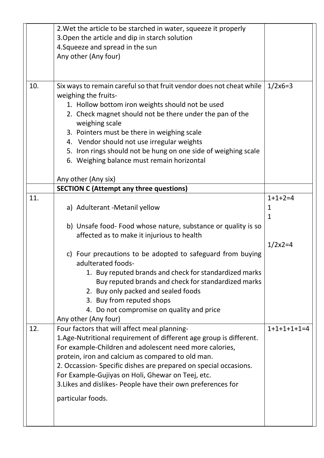|     | 2. Wet the article to be starched in water, squeeze it properly<br>3. Open the article and dip in starch solution<br>4. Squeeze and spread in the sun<br>Any other (Any four)                                                                                                                                                                                                                                                                                                                                                                 |                                              |
|-----|-----------------------------------------------------------------------------------------------------------------------------------------------------------------------------------------------------------------------------------------------------------------------------------------------------------------------------------------------------------------------------------------------------------------------------------------------------------------------------------------------------------------------------------------------|----------------------------------------------|
| 10. | Six ways to remain careful so that fruit vendor does not cheat while<br>weighing the fruits-<br>1. Hollow bottom iron weights should not be used<br>2. Check magnet should not be there under the pan of the<br>weighing scale<br>3. Pointers must be there in weighing scale<br>4. Vendor should not use irregular weights<br>5. Iron rings should not be hung on one side of weighing scale<br>6. Weighing balance must remain horizontal<br>Any other (Any six)                                                                            | $1/2x6=3$                                    |
|     |                                                                                                                                                                                                                                                                                                                                                                                                                                                                                                                                               |                                              |
| 11. | <b>SECTION C (Attempt any three questions)</b><br>a) Adulterant - Metanil yellow<br>b) Unsafe food- Food whose nature, substance or quality is so<br>affected as to make it injurious to health<br>c) Four precautions to be adopted to safeguard from buying<br>adulterated foods-<br>1. Buy reputed brands and check for standardized marks<br>Buy reputed brands and check for standardized marks<br>2. Buy only packed and sealed foods<br>3. Buy from reputed shops<br>4. Do not compromise on quality and price<br>Any other (Any four) | $1+1+2=4$<br>1<br>$\mathbf{1}$<br>$1/2x^2=4$ |
| 12. | Four factors that will affect meal planning-<br>1. Age-Nutritional requirement of different age group is different.<br>For example-Children and adolescent need more calories,<br>protein, iron and calcium as compared to old man.<br>2. Occassion-Specific dishes are prepared on special occasions.<br>For Example-Gujiyas on Holi, Ghewar on Teej, etc.<br>3. Likes and dislikes- People have their own preferences for<br>particular foods.                                                                                              | $1+1+1+1+1=4$                                |